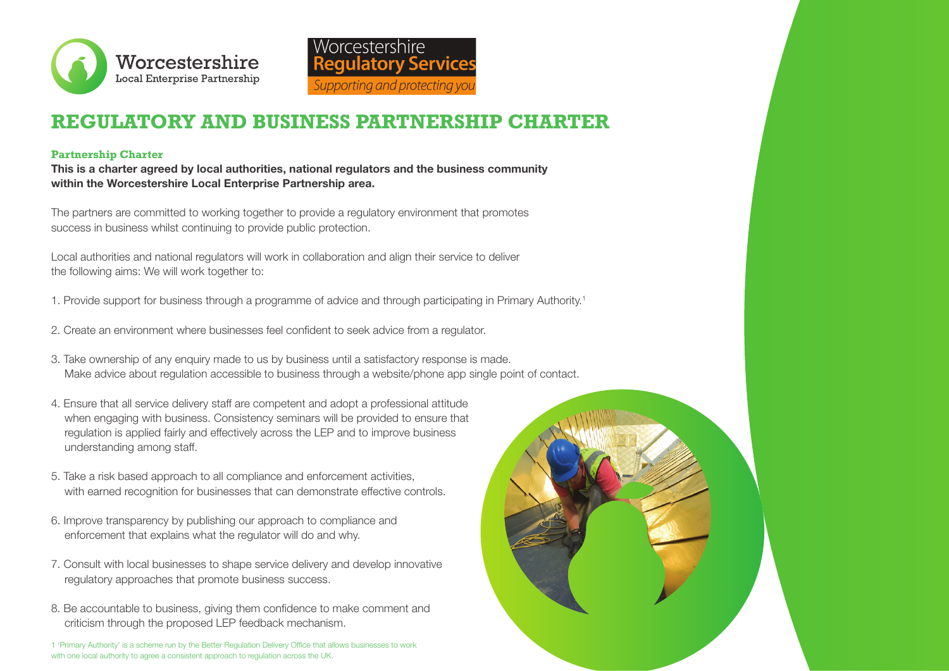

#### Worcestershire **Reaulatory Services** Supporting and protecting you

# **REGULATORY AND BUSINESS PARTNERSHIP CHARTER**

#### **Partnership Charter**

**This is a charter agreed by local authorities, national regulators and the business community within the Worcestershire Local Enterprise Partnership area.**

The partners are committed to working together to provide a regulatory environment that promotes success in business whilst continuing to provide public protection.

Local authorities and national regulators will work in collaboration and align their service to deliver the following aims: We will work together to:

- 1. Provide support for business through a programme of advice and through participating in Primary Authority.1
- 2. Create an environment where businesses feel confident to seek advice from a regulator.
- 3. Take ownership of any enquiry made to us by business until a satisfactory response is made. Make advice about regulation accessible to business through a website/phone app single point of contact.
- 4. Ensure that all service delivery staff are competent and adopt a professional attitude when engaging with business. Consistency seminars will be provided to ensure that regulation is applied fairly and effectively across the LEP and to improve business understanding among staff.
- 5. Take a risk based approach to all compliance and enforcement activities, with earned recognition for businesses that can demonstrate effective controls.
- 6. Improve transparency by publishing our approach to compliance and enforcement that explains what the regulator will do and why.
- 7. Consult with local businesses to shape service delivery and develop innovative regulatory approaches that promote business success.
- 8. Be accountable to business, giving them confidence to make comment and criticism through the proposed LEP feedback mechanism.

1 'Primary Authority' is a scheme run by the Better Regulation Delivery Office that allows businesses to work with one local authority to agree a consistent approach to regulation across the UK.